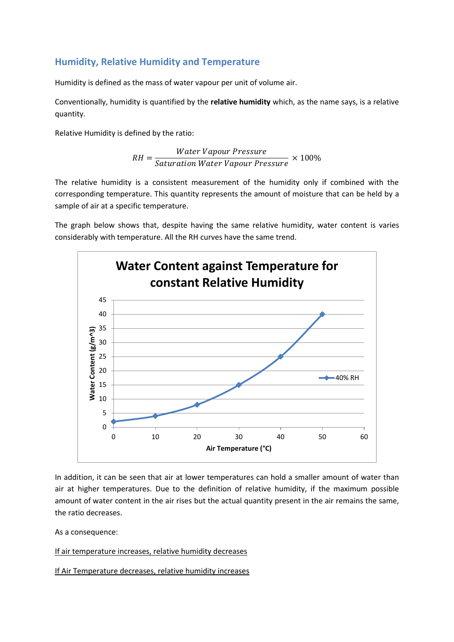# **Humidity, Relative Humidity and Temperature**

Humidity is defined as the mass of water vapour per unit of volume air.

Conventionally, humidity is quantified by the **relative humidity** which, as the name says, is a relative quantity.

Relative Humidity is defined by the ratio:

$$
RH = \frac{Water \, Vapor \, Pressure}{Saturation \, Water \, Vapour \, Pressure} \times 100\%
$$

The relative humidity is a consistent measurement of the humidity only if combined with the corresponding temperature. This quantity represents the amount of moisture that can be held by a sample of air at a specific temperature.

The graph below shows that, despite having the same relative humidity, water content is varies considerably with temperature. All the RH curves have the same trend.



In addition, it can be seen that air at lower temperatures can hold a smaller amount of water than air at higher temperatures. Due to the definition of relative humidity, if the maximum possible amount of water content in the air rises but the actual quantity present in the air remains the same, the ratio decreases.

As a consequence:

If air temperature increases, relative humidity decreases

If Air Temperature decreases, relative humidity increases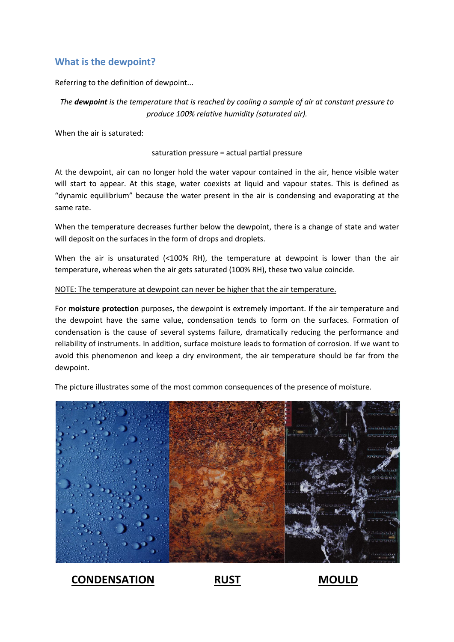## **What is the dewpoint?**

Referring to the definition of dewpoint...

*The dewpoint is the temperature that is reached by cooling a sample of air at constant pressure to produce 100% relative humidity (saturated air).*

When the air is saturated:

#### saturation pressure = actual partial pressure

At the dewpoint, air can no longer hold the water vapour contained in the air, hence visible water will start to appear. At this stage, water coexists at liquid and vapour states. This is defined as "dynamic equilibrium" because the water present in the air is condensing and evaporating at the same rate.

When the temperature decreases further below the dewpoint, there is a change of state and water will deposit on the surfaces in the form of drops and droplets.

When the air is unsaturated (<100% RH), the temperature at dewpoint is lower than the air temperature, whereas when the air gets saturated (100% RH), these two value coincide.

### NOTE: The temperature at dewpoint can never be higher that the air temperature.

For **moisture protection** purposes, the dewpoint is extremely important. If the air temperature and the dewpoint have the same value, condensation tends to form on the surfaces. Formation of condensation is the cause of several systems failure, dramatically reducing the performance and reliability of instruments. In addition, surface moisture leads to formation of corrosion. If we want to avoid this phenomenon and keep a dry environment, the air temperature should be far from the dewpoint.

The picture illustrates some of the most common consequences of the presence of moisture.



**CONDENSATION RUST MOULD**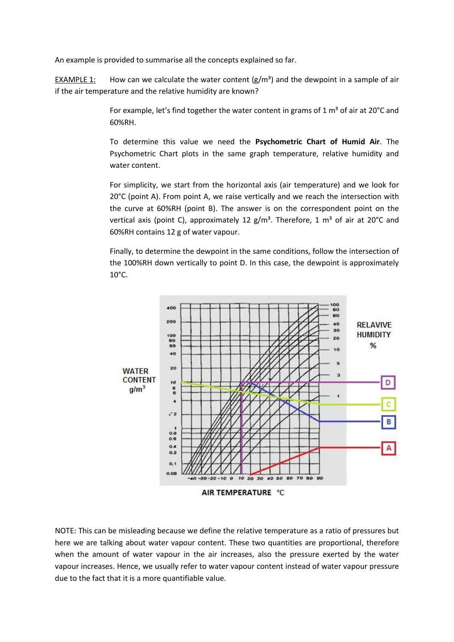An example is provided to summarise all the concepts explained so far.

EXAMPLE 1: How can we calculate the water content  $(g/m<sup>3</sup>)$  and the dewpoint in a sample of air if the air temperature and the relative humidity are known?

> For example, let's find together the water content in grams of 1  $\text{m}^3$  of air at 20 $\textdegree$ C and 60%RH.

> To determine this value we need the **Psychometric Chart of Humid Air**. The Psychometric Chart plots in the same graph temperature, relative humidity and water content.

> For simplicity, we start from the horizontal axis (air temperature) and we look for 20°C (point A). From point A, we raise vertically and we reach the intersection with the curve at 60%RH (point B). The answer is on the correspondent point on the vertical axis (point C), approximately 12  $g/m<sup>3</sup>$ . Therefore, 1  $m<sup>3</sup>$  of air at 20°C and 60%RH contains 12 g of water vapour.

> Finally, to determine the dewpoint in the same conditions, follow the intersection of the 100%RH down vertically to point D. In this case, the dewpoint is approximately 10°C.



NOTE: This can be misleading because we define the relative temperature as a ratio of pressures but here we are talking about water vapour content. These two quantities are proportional, therefore when the amount of water vapour in the air increases, also the pressure exerted by the water vapour increases. Hence, we usually refer to water vapour content instead of water vapour pressure due to the fact that it is a more quantifiable value.